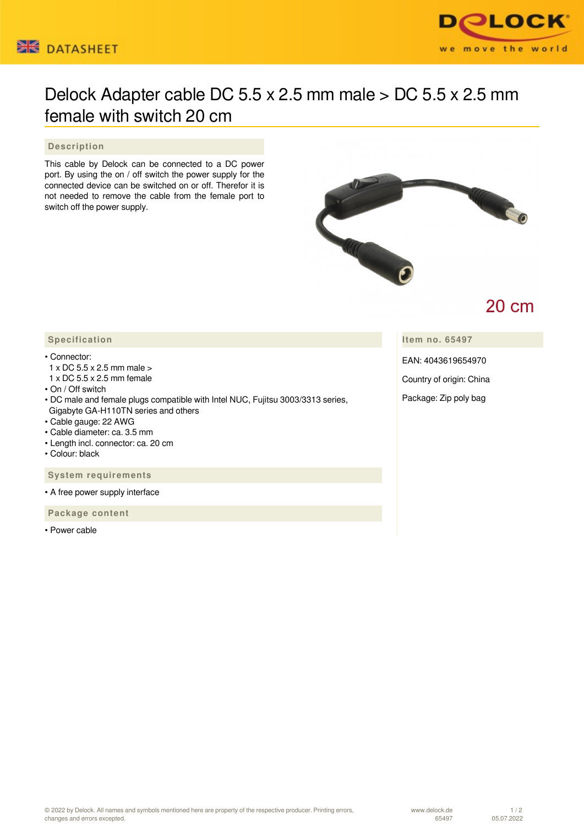



# Delock Adapter cable DC 5.5 x 2.5 mm male > DC 5.5 x 2.5 mm female with switch 20 cm

#### **Description**

This cable by Delock can be connected to a DC power port. By using the on / off switch the power supply for the connected device can be switched on or off. Therefor it is not needed to remove the cable from the female port to switch off the power supply.



# **20 cm**

**Item no. 65497**

EAN: 4043619654970

Country of origin: China

Package: Zip poly bag

### **Specification**

#### • Connector:

- 1 x DC 5.5 x 2.5 mm male >
- 1 x DC 5.5 x 2.5 mm female
- On / Off switch
- DC male and female plugs compatible with Intel NUC, Fujitsu 3003/3313 series, Gigabyte GA-H110TN series and others
- Cable gauge: 22 AWG
- Cable diameter: ca. 3.5 mm
- Length incl. connector: ca. 20 cm
- Colour: black

 **System requirements**

• A free power supply interface

 **Package content**

• Power cable